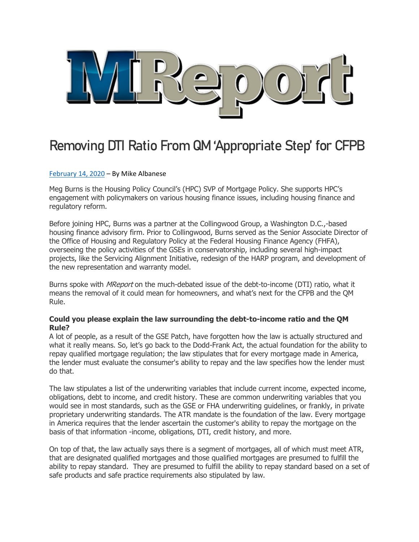

# Removing DTI Ratio From QM 'Appropriate Step' for CFPB

## [February](https://themreport.com/daily-dose/02-14-2020/removing-dti-ratio-from-qm-appropriate-step-for-cfpb) 14, 2020 – By Mike Albanese

Meg Burns is the Housing Policy Council's (HPC) SVP of Mortgage Policy. She supports HPC's engagement with policymakers on various housing finance issues, including housing finance and regulatory reform.

Before joining HPC, Burns was a partner at the Collingwood Group, a Washington D.C.,-based housing finance advisory firm. Prior to Collingwood, Burns served as the Senior Associate Director of the Office of Housing and Regulatory Policy at the Federal Housing Finance Agency (FHFA), overseeing the policy activities of the GSEs in conservatorship, including several high-impact projects, like the Servicing Alignment Initiative, redesign of the HARP program, and development of the new representation and warranty model.

Burns spoke with *MReport* on the much-debated issue of the debt-to-income (DTI) ratio, what it means the removal of it could mean for homeowners, and what's next for the CFPB and the QM Rule.

#### **Could you please explain the law surrounding the debt-to-income ratio and the QM Rule?**

A lot of people, as a result of the GSE Patch, have forgotten how the law is actually structured and what it really means. So, let's go back to the Dodd-Frank Act, the actual foundation for the ability to repay qualified mortgage regulation; the law stipulates that for every mortgage made in America, the lender must evaluate the consumer's ability to repay and the law specifies how the lender must do that.

The law stipulates a list of the underwriting variables that include current income, expected income, obligations, debt to income, and credit history. These are common underwriting variables that you would see in most standards, such as the GSE or FHA underwriting guidelines, or frankly, in private proprietary underwriting standards. The ATR mandate is the foundation of the law. Every mortgage in America requires that the lender ascertain the customer's ability to repay the mortgage on the basis of that information -income, obligations, DTI, credit history, and more.

On top of that, the law actually says there is a segment of mortgages, all of which must meet ATR, that are designated qualified mortgages and those qualified mortgages are presumed to fulfill the ability to repay standard. They are presumed to fulfill the ability to repay standard based on a set of safe products and safe practice requirements also stipulated by law.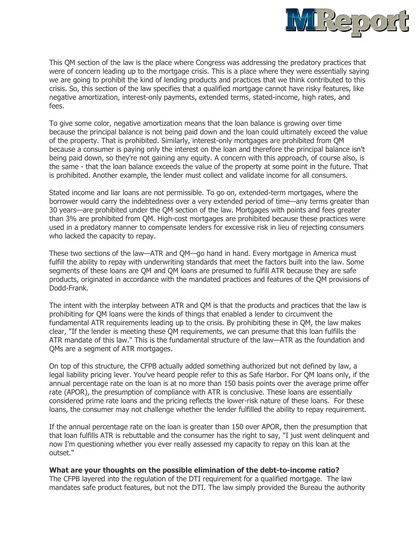

This QM section of the law is the place where Congress was addressing the predatory practices that were of concern leading up to the mortgage crisis. This is a place where they were essentially saying we are going to prohibit the kind of lending products and practices that we think contributed to this crisis. So, this section of the law specifies that a qualified mortgage cannot have risky features, like negative amortization, interest-only payments, extended terms, stated-income, high rates, and fees.

To give some color, negative amortization means that the loan balance is growing over time because the principal balance is not being paid down and the loan could ultimately exceed the value of the property. That is prohibited. Similarly, interest-only mortgages are prohibited from QM because a consumer is paying only the interest on the loan and therefore the principal balance isn't being paid down, so they're not gaining any equity. A concern with this approach, of course also, is the same - that the loan balance exceeds the value of the property at some point in the future. That is prohibited. Another example, the lender must collect and validate income for all consumers.

Stated income and liar loans are not permissible. To go on, extended-term mortgages, where the borrower would carry the indebtedness over a very extended period of time—any terms greater than 30 years—are prohibited under the QM section of the law. Mortgages with points and fees greater than 3% are prohibited from QM. High-cost mortgages are prohibited because these practices were used in a predatory manner to compensate lenders for excessive risk in lieu of rejecting consumers who lacked the capacity to repay.

These two sections of the law—ATR and QM—go hand in hand. Every mortgage in America must fulfill the ability to repay with underwriting standards that meet the factors built into the law. Some segments of these loans are QM and QM loans are presumed to fulfill ATR because they are safe products, originated in accordance with the mandated practices and features of the QM provisions of Dodd-Frank.

The intent with the interplay between ATR and QM is that the products and practices that the law is prohibiting for QM loans were the kinds of things that enabled a lender to circumvent the fundamental ATR requirements leading up to the crisis. By prohibiting these in QM, the law makes clear, "If the lender is meeting these QM requirements, we can presume that this loan fulfills the ATR mandate of this law." This is the fundamental structure of the law—ATR as the foundation and QMs are a segment of ATR mortgages.

On top of this structure, the CFPB actually added something authorized but not defined by law, a legal liability pricing lever. You've heard people refer to this as Safe Harbor. For QM loans only, if the annual percentage rate on the loan is at no more than 150 basis points over the average prime offer rate (APOR), the presumption of compliance with ATR is conclusive. These loans are essentially considered prime rate loans and the pricing reflects the lower-risk nature of these loans. For these loans, the consumer may not challenge whether the lender fulfilled the ability to repay requirement.

If the annual percentage rate on the loan is greater than 150 over APOR, then the presumption that that loan fulfills ATR is rebuttable and the consumer has the right to say, "I just went delinquent and now I'm questioning whether you ever really assessed my capacity to repay on this loan at the outset."

#### **What are your thoughts on the possible elimination of the debt-to-income ratio?**

The CFPB layered into the regulation of the DTI requirement for a qualified mortgage. The law mandates safe product features, but not the DTI. The law simply provided the Bureau the authority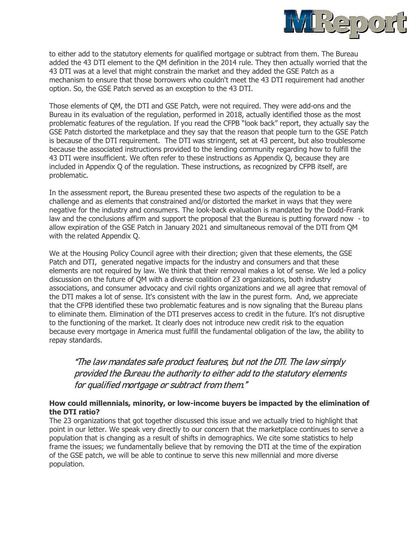

to either add to the statutory elements for qualified mortgage or subtract from them. The Bureau added the 43 DTI element to the QM definition in the 2014 rule. They then actually worried that the 43 DTI was at a level that might constrain the market and they added the GSE Patch as a mechanism to ensure that those borrowers who couldn't meet the 43 DTI requirement had another option. So, the GSE Patch served as an exception to the 43 DTI.

Those elements of QM, the DTI and GSE Patch, were not required. They were add-ons and the Bureau in its evaluation of the regulation, performed in 2018, actually identified those as the most problematic features of the regulation. If you read the CFPB "look back" report, they actually say the GSE Patch distorted the marketplace and they say that the reason that people turn to the GSE Patch is because of the DTI requirement. The DTI was stringent, set at 43 percent, but also troublesome because the associated instructions provided to the lending community regarding how to fulfill the 43 DTI were insufficient. We often refer to these instructions as Appendix Q, because they are included in Appendix Q of the regulation. These instructions, as recognized by CFPB itself, are problematic.

In the assessment report, the Bureau presented these two aspects of the regulation to be a challenge and as elements that constrained and/or distorted the market in ways that they were negative for the industry and consumers. The look-back evaluation is mandated by the Dodd-Frank law and the conclusions affirm and support the proposal that the Bureau is putting forward now - to allow expiration of the GSE Patch in January 2021 and simultaneous removal of the DTI from QM with the related Appendix Q.

We at the Housing Policy Council agree with their direction; given that these elements, the GSE Patch and DTI, generated negative impacts for the industry and consumers and that these elements are not required by law. We think that their removal makes a lot of sense. We led a policy discussion on the future of QM with a diverse coalition of 23 organizations, both industry associations, and consumer advocacy and civil rights organizations and we all agree that removal of the DTI makes a lot of sense. It's consistent with the law in the purest form. And, we appreciate that the CFPB identified these two problematic features and is now signaling that the Bureau plans to eliminate them. Elimination of the DTI preserves access to credit in the future. It's not disruptive to the functioning of the market. It clearly does not introduce new credit risk to the equation because every mortgage in America must fulfill the fundamental obligation of the law, the ability to repay standards.

"The law mandates safe product features, but not the DTI. The law simply provided the Bureau the authority to either add to the statutory elements for qualified mortgage or subtract from them."

## **How could millennials, minority, or low-income buyers be impacted by the elimination of the DTI ratio?**

The 23 organizations that got together discussed this issue and we actually tried to highlight that point in our letter. We speak very directly to our concern that the marketplace continues to serve a population that is changing as a result of shifts in demographics. We cite some statistics to help frame the issues; we fundamentally believe that by removing the DTI at the time of the expiration of the GSE patch, we will be able to continue to serve this new millennial and more diverse population.